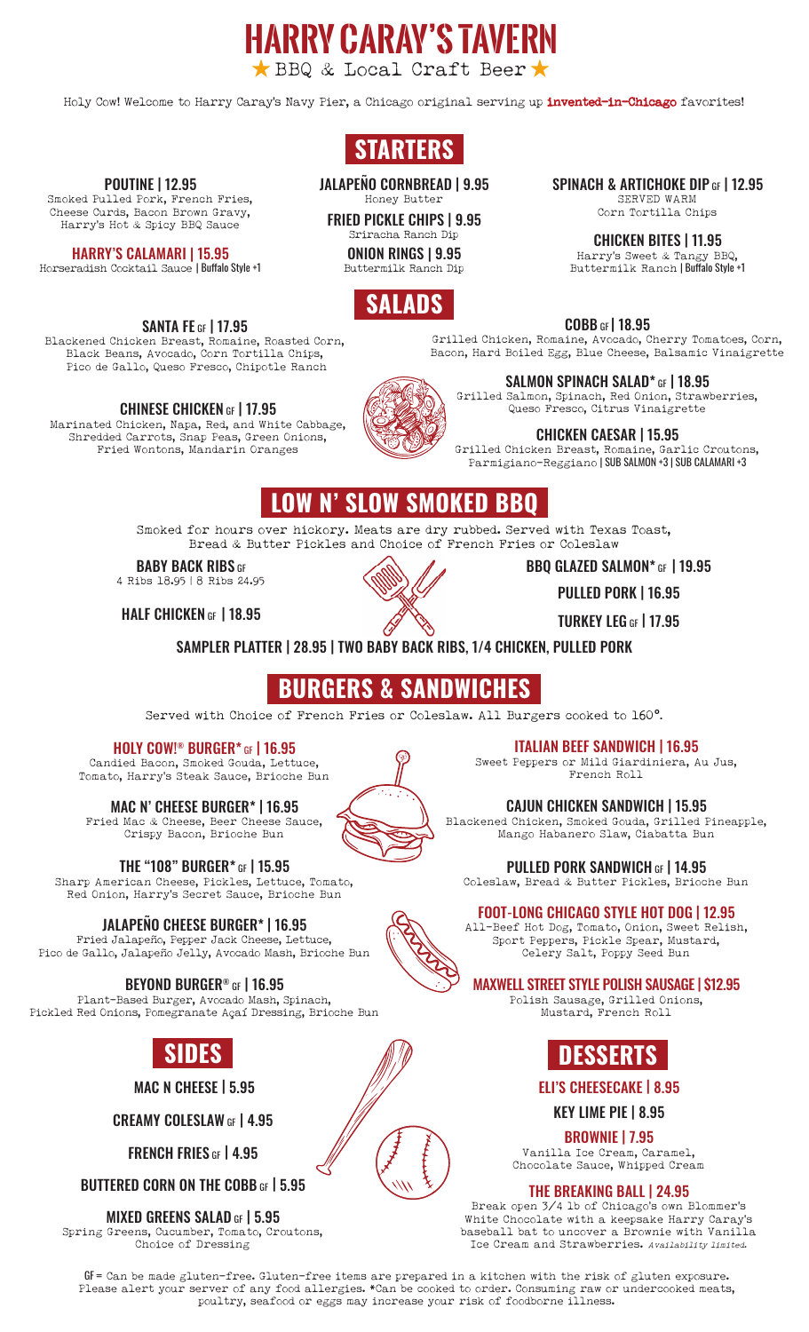Holy Cow! Welcome to Harry Caray's Navy Pier, a Chicago original serving up invented-in-Chicago favorites!

**harry caray's tavern**

BBQ & Local Craft Beer

# **STARTERS**

JALAPEÑO CORNBREAD | 9.95 Honey Butter

FRIED PICKLE CHIPS | 9.95 Sriracha Ranch Dip

ONION RINGS | 9.95 Buttermilk Ranch Dip

COBB GF | 18.95

Grilled Chicken, Romaine, Avocado, Cherry Tomatoes, Corn, Bacon, Hard Boiled Egg, Blue Cheese, Balsamic Vinaigrette

SALMON SPINACH SALAD\* GF | 18.95

Grilled Salmon, Spinach, Red Onion, Strawberries, Queso Fresco, Citrus Vinaigrette

CHICKEN CAESAR | 15.95 Grilled Chicken Breast, Romaine, Garlic Croutons, Parmigiano-Reggiano | SUB SALMON +3 | SUB CALAMARI +3

BBQ GLAZED SALMON\* GF | 19.95

PULLED PORK | 16.95

TURKEY LEG GF | 17.95

Smoked for hours over hickory. Meats are dry rubbed. Served with Texas Toast, **LOW N' SLOW SMOKED BBQ**

Bread & Butter Pickles and Choice of French Fries or Coleslaw

**BABY BACK RIBS GF** 4 Ribs 18.95 | 8 Ribs 24.95

HALF CHICKEN GF | 18.95

SAMPLER PLATTER | 28.95 | TWO BABY BACK RIBS, 1/4 CHICKEN, PULLED PORK

# **BURGERS & SANDWICHES**

Served with Choice of French Fries or Coleslaw. All Burgers cooked to 160°.

HOLY COW!® BURGER\* GF | 16.95

Candied Bacon, Smoked Gouda, Lettuce, Tomato, Harry's Steak Sauce, Brioche Bun

MAC N' CHEESE BURGER\* | 16.95

Fried Mac & Cheese, Beer Cheese Sauce, Crispy Bacon, Brioche Bun

THE "108" BURGER\* GF | 15.95

Sharp American Cheese, Pickles, Lettuce, Tomato, Red Onion, Harry's Secret Sauce, Brioche Bun

### JALAPEÑO CHEESE BURGER\* | 16.95

Fried Jalapeño, Pepper Jack Cheese, Lettuce, Pico de Gallo, Jalapeño Jelly, Avocado Mash, Brioche Bun

### BEYOND BURGER® GF | 16.95

Plant-Based Burger, Avocado Mash, Spinach, Pickled Red Onions, Pomegranate Açaí Dressing, Brioche Bun

MAC N CHEESE | 5.95

CREAMY COLESLAW GF | 4.95

FRENCH FRIES GF | 4.95

BUTTERED CORN ON THE COBB GF | 5.95

MIXED GREENS SALAD GF | 5.95

Spring Greens, Cucumber, Tomato, Croutons, Choice of Dressing

ITALIAN BEEF SANDWICH | 16.95

Sweet Peppers or Mild Giardiniera, Au Jus, French Roll

CAJUN CHICKEN SANDWICH | 15.95

Blackened Chicken, Smoked Gouda, Grilled Pineapple, Mango Habanero Slaw, Ciabatta Bun

PULLED PORK SANDWICH GF | 14.95

Coleslaw, Bread & Butter Pickles, Brioche Bun

### FOOT-LONG CHICAGO STYLE HOT DOG | 12.95

All-Beef Hot Dog, Tomato, Onion, Sweet Relish, Sport Peppers, Pickle Spear, Mustard, Celery Salt, Poppy Seed Bun

### MAXWELL STREET STYLE POLISH SAUSAGE | \$12.95

Polish Sausage, Grilled Onions, Mustard, French Roll



#### ELI'S CHEESECAKE | 8.95

KEY LIME PIE | 8.95

BROWNIE | 7.95

Vanilla Ice Cream, Caramel, Chocolate Sauce, Whipped Cream

#### THE BREAKING BALL | 24.95

Break open 3/4 lb of Chicago's own Blommer's White Chocolate with a keepsake Harry Caray's baseball bat to uncover a Brownie with Vanilla Ice Cream and Strawberries. Availability limited.

GF = Can be made gluten-free. Gluten-free items are prepared in a kitchen with the risk of gluten exposure. Please alert your server of any food allergies. \*Can be cooked to order. Consuming raw or undercooked meats, poultry, seafood or eggs may increase your risk of foodborne illness.



Black Beans, Avocado, Corn Tortilla Chips, Pico de Gallo, Queso Fresco, Chipotle Ranch

CHINESE CHICKEN GF | 17.95

Shredded Carrots, Snap Peas, Green Onions, Fried Wontons, Mandarin Oranges

POUTINE | 12.95 Smoked Pulled Pork, French Fries, Cheese Curds, Bacon Brown Gravy, Harry's Hot & Spicy BBQ Sauce

HARRY'S CALAMARI | 15.95 Horseradish Cocktail Sauce | Buffalo Style +1

Marinated Chicken, Napa, Red, and White Cabbage,

Blackened Chicken Breast, Romaine, Roasted Corn, **SALADS**





CHICKEN BITES | 11.95 Harry's Sweet & Tangy BBQ,

Buttermilk Ranch | Buffalo Style +1

SPINACH & ARTICHOKE DIP GF | 12.95 SERVED WARM Corn Tortilla Chips